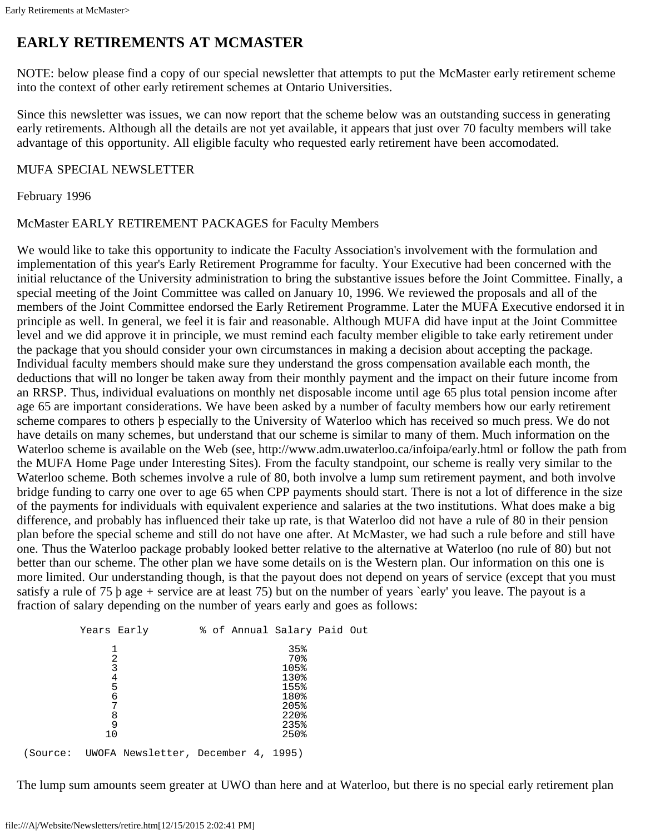## **EARLY RETIREMENTS AT MCMASTER**

NOTE: below please find a copy of our special newsletter that attempts to put the McMaster early retirement scheme into the context of other early retirement schemes at Ontario Universities.

Since this newsletter was issues, we can now report that the scheme below was an outstanding success in generating early retirements. Although all the details are not yet available, it appears that just over 70 faculty members will take advantage of this opportunity. All eligible faculty who requested early retirement have been accomodated.

## MUFA SPECIAL NEWSLETTER

February 1996

McMaster EARLY RETIREMENT PACKAGES for Faculty Members

We would like to take this opportunity to indicate the Faculty Association's involvement with the formulation and implementation of this year's Early Retirement Programme for faculty. Your Executive had been concerned with the initial reluctance of the University administration to bring the substantive issues before the Joint Committee. Finally, a special meeting of the Joint Committee was called on January 10, 1996. We reviewed the proposals and all of the members of the Joint Committee endorsed the Early Retirement Programme. Later the MUFA Executive endorsed it in principle as well. In general, we feel it is fair and reasonable. Although MUFA did have input at the Joint Committee level and we did approve it in principle, we must remind each faculty member eligible to take early retirement under the package that you should consider your own circumstances in making a decision about accepting the package. Individual faculty members should make sure they understand the gross compensation available each month, the deductions that will no longer be taken away from their monthly payment and the impact on their future income from an RRSP. Thus, individual evaluations on monthly net disposable income until age 65 plus total pension income after age 65 are important considerations. We have been asked by a number of faculty members how our early retirement scheme compares to others þ especially to the University of Waterloo which has received so much press. We do not have details on many schemes, but understand that our scheme is similar to many of them. Much information on the Waterloo scheme is available on the Web (see, http://www.adm.uwaterloo.ca/infoipa/early.html or follow the path from the MUFA Home Page under Interesting Sites). From the faculty standpoint, our scheme is really very similar to the Waterloo scheme. Both schemes involve a rule of 80, both involve a lump sum retirement payment, and both involve bridge funding to carry one over to age 65 when CPP payments should start. There is not a lot of difference in the size of the payments for individuals with equivalent experience and salaries at the two institutions. What does make a big difference, and probably has influenced their take up rate, is that Waterloo did not have a rule of 80 in their pension plan before the special scheme and still do not have one after. At McMaster, we had such a rule before and still have one. Thus the Waterloo package probably looked better relative to the alternative at Waterloo (no rule of 80) but not better than our scheme. The other plan we have some details on is the Western plan. Our information on this one is more limited. Our understanding though, is that the payout does not depend on years of service (except that you must satisfy a rule of 75 b age + service are at least 75) but on the number of years `early' you leave. The payout is a fraction of salary depending on the number of years early and goes as follows:

| Years Early                                  |  | % of Annual Salary Paid Out |  |
|----------------------------------------------|--|-----------------------------|--|
| 2<br>3                                       |  | 35%<br>70%<br>105%          |  |
| 4<br>5<br>6                                  |  | 130%<br>155%<br>180%        |  |
| 7<br>8                                       |  | 205%<br>220%                |  |
| 9<br>10                                      |  | 235%<br>250%                |  |
| (Source: UWOFA Newsletter, December 4, 1995) |  |                             |  |

The lump sum amounts seem greater at UWO than here and at Waterloo, but there is no special early retirement plan